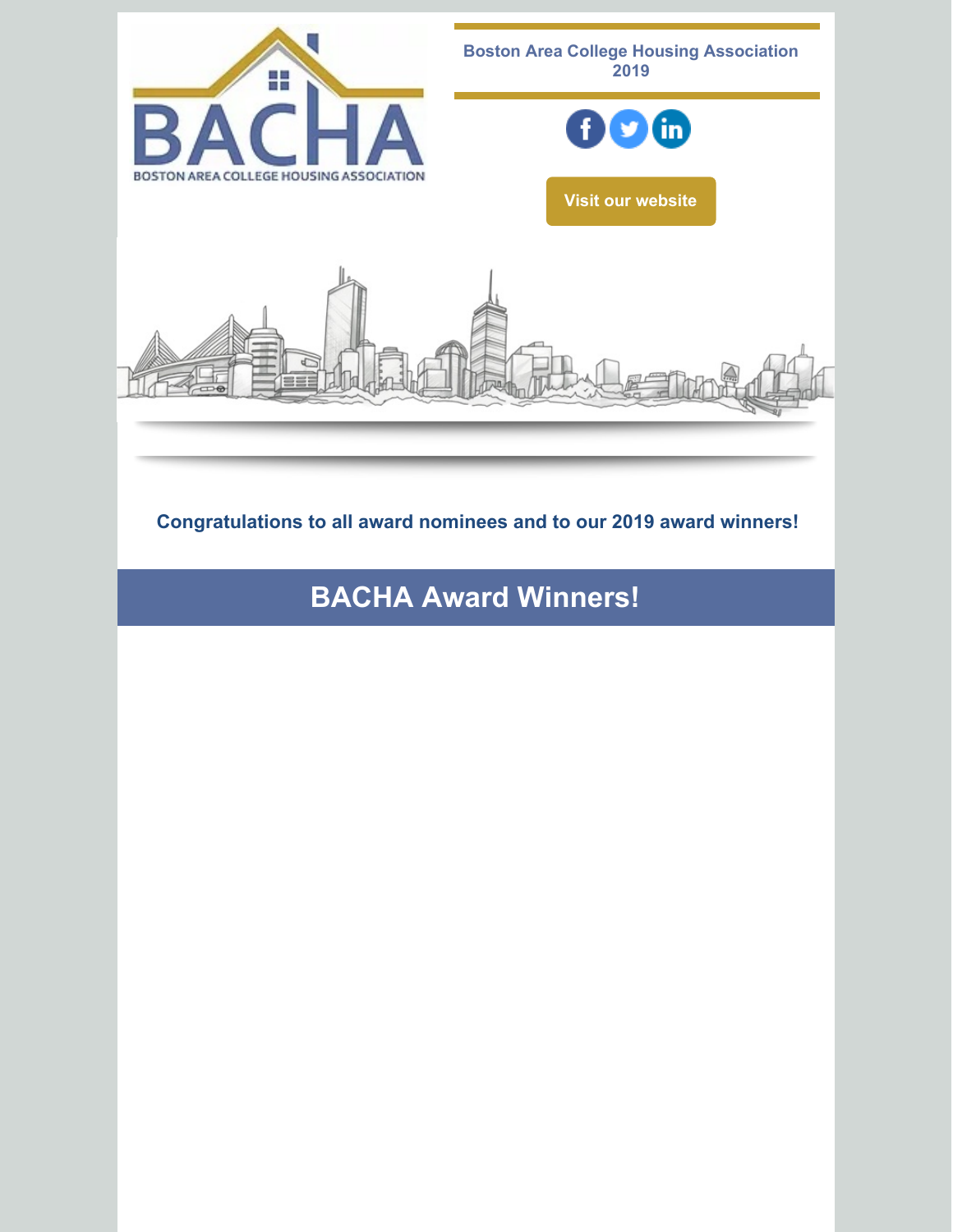

**Congratulations to all award nominees and to our 2019 award winners!**

**BACHA Award Winners!**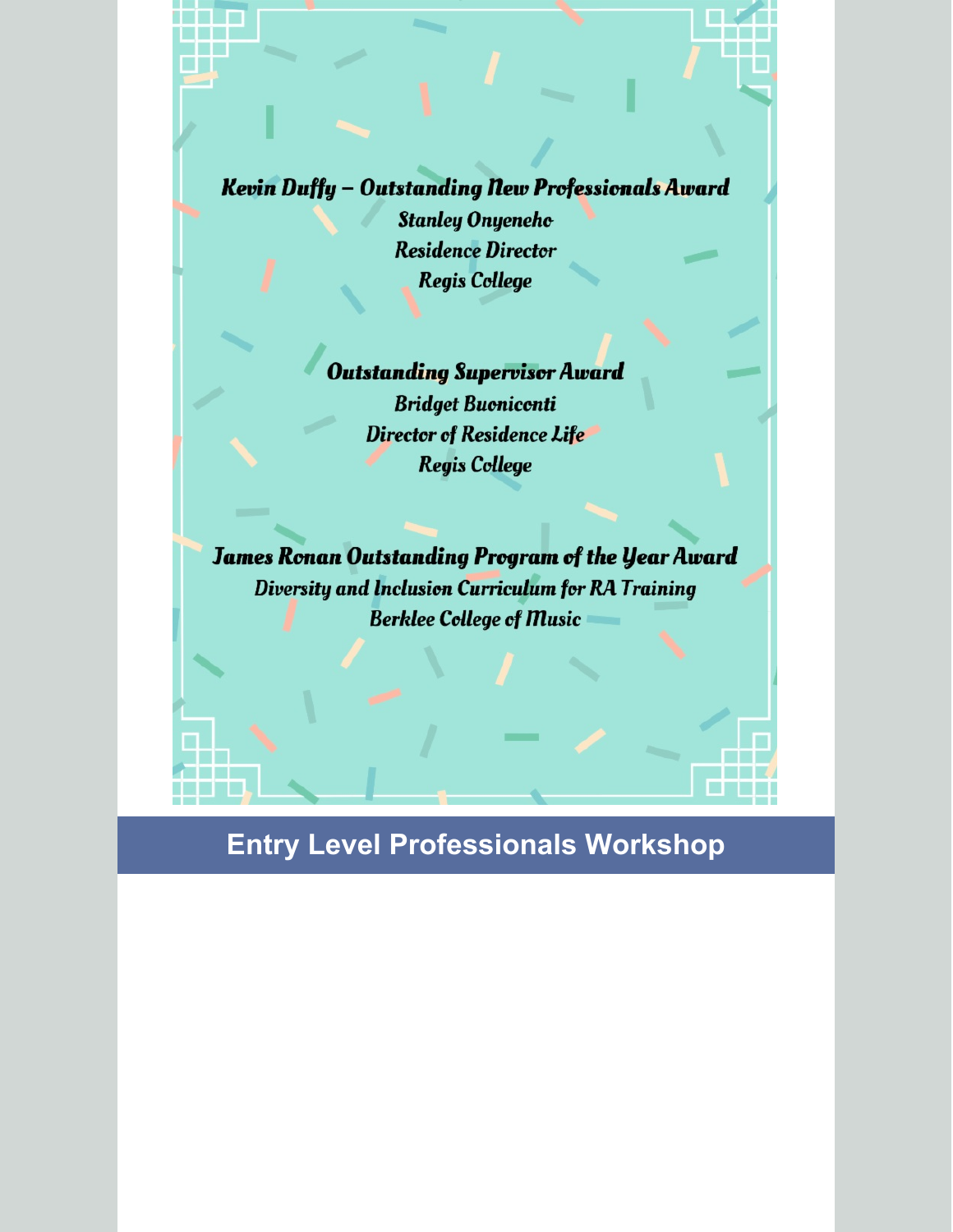Kevin Duffy - Outstanding New Professionals Award **Stanley Onyeneho Residence Director Regis College** 

#### **Outstanding Supervisor Award**

**Bridget Buoniconti Director of Residence Life Regis College** 

**James Ronan Outstanding Program of the Year Award** Diversity and Inclusion Curriculum for RA Training **Berklee College of Music** 

# **Entry Level Professionals Workshop**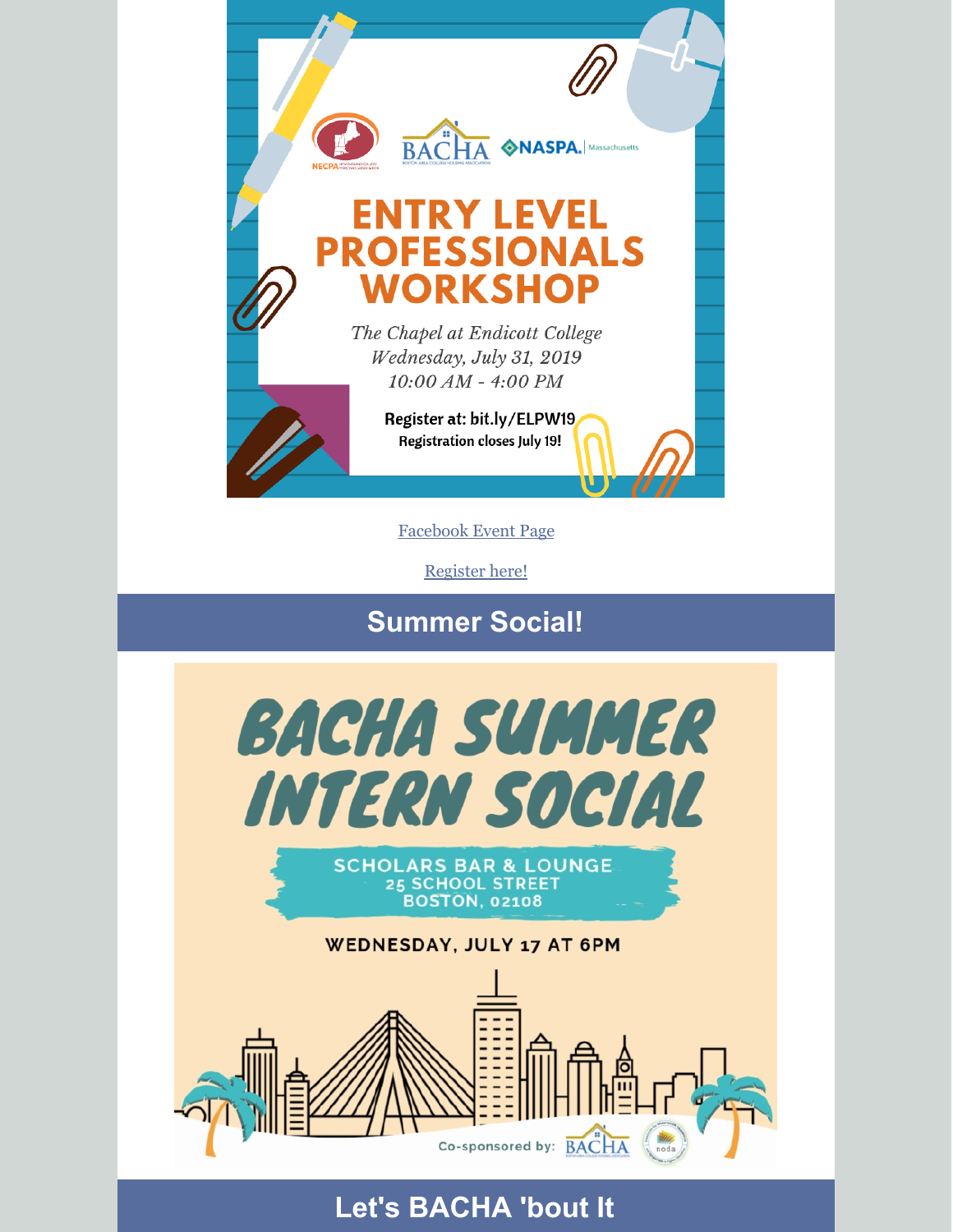

[Facebook](https://www.facebook.com/events/2280248778906464/) Event Page

[Register](http://bit.ly/ELPW19) here!

**Summer Social!**





#### WEDNESDAY, JULY 17 AT 6PM



## **Let's BACHA 'bout It**